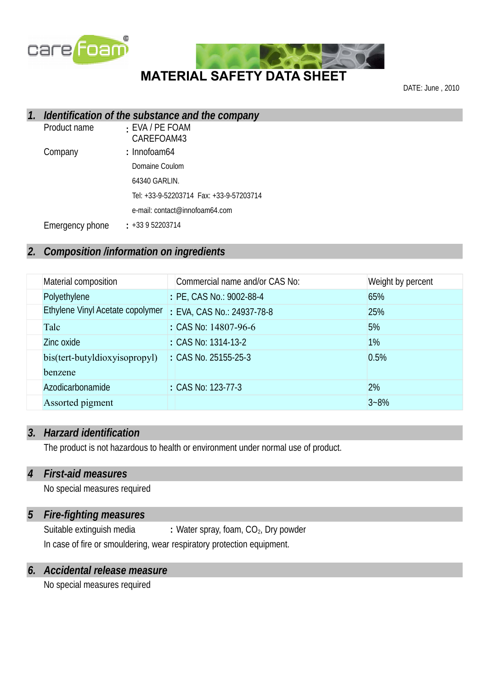



DATE: June , 2010

## *1. Identification of the substance and the company*

| Product name    | : EVA / PE FOAM<br>CAREFOAM43  |
|-----------------|--------------------------------|
| Company         | : Innofoam64                   |
|                 | Domaine Coulom                 |
|                 | 64340 GARLIN.                  |
|                 |                                |
|                 | e-mail: contact@innofoam64.com |
| Emergency phone | $: +33952203714$               |

## *2. Composition /information on ingredients*

| Material composition             | Commercial name and/or CAS No:  | Weight by percent |
|----------------------------------|---------------------------------|-------------------|
| Polyethylene                     | : PE, CAS No.: 9002-88-4        | 65%               |
| Ethylene Vinyl Acetate copolymer | : EVA, CAS No.: 24937-78-8      | 25%               |
| Talc                             | : CAS No. $14807-96-6$          | 5%                |
| Zinc oxide                       | : CAS No: 1314-13-2             | 1%                |
| bis(tert-butyldioxyisopropyl)    | $\therefore$ CAS No. 25155-25-3 | 0.5%              |
| henzene                          |                                 |                   |
| Azodicarbonamide                 | : CAS No: 123-77-3              | 2%                |
| Assorted pigment                 |                                 | $3 - 8%$          |

#### *3. Harzard identification*

The product is not hazardous to health or environment under normal use of product.

#### *4 First-aid measures*

No special measures required

#### *5 Fire-fighting measures*

Suitable extinguish media **:** Water spray, foam, CO<sub>2</sub>, Dry powder In case of fire or smouldering, wear respiratory protection equipment.

## *6. Accidental release measure*

No special measures required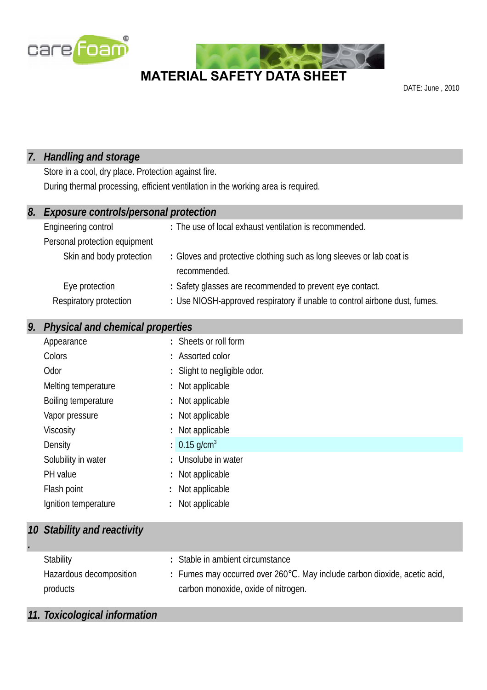



DATE: June , 2010

## *7. Handling and storage*

Store in a cool, dry place. Protection against fire. During thermal processing, efficient ventilation in the working area is required.

| 8. | <b>Exposure controls/personal protection</b> |                                                                                      |  |
|----|----------------------------------------------|--------------------------------------------------------------------------------------|--|
|    | Engineering control                          | : The use of local exhaust ventilation is recommended.                               |  |
|    | Personal protection equipment                |                                                                                      |  |
|    | Skin and body protection                     | : Gloves and protective clothing such as long sleeves or lab coat is<br>recommended. |  |
|    | Eye protection                               | : Safety glasses are recommended to prevent eye contact.                             |  |
|    | Respiratory protection                       | : Use NIOSH-approved respiratory if unable to control airbone dust, fumes.           |  |

## *9. Physical and chemical properties*

| Appearance           | : Sheets or roll form        |
|----------------------|------------------------------|
| Colors               | : Assorted color             |
| Odor                 | : Slight to negligible odor. |
| Melting temperature  | : Not applicable             |
| Boiling temperature  | : Not applicable             |
| Vapor pressure       | : Not applicable             |
| <b>Viscosity</b>     | : Not applicable             |
| Density              | $: 0.15$ g/cm <sup>3</sup>   |
| Solubility in water  | : Unsolube in water          |
| PH value             | : Not applicable             |
| Flash point          | : Not applicable             |
| Ignition temperature | Not applicable               |

## *10 Stability and reactivity*

*.*

| Stability               | : Stable in ambient circumstance                                          |
|-------------------------|---------------------------------------------------------------------------|
| Hazardous decomposition | : Fumes may occurred over 260°C. May include carbon dioxide, acetic acid, |
| products                | carbon monoxide, oxide of nitrogen.                                       |

## *11. Toxicological information*